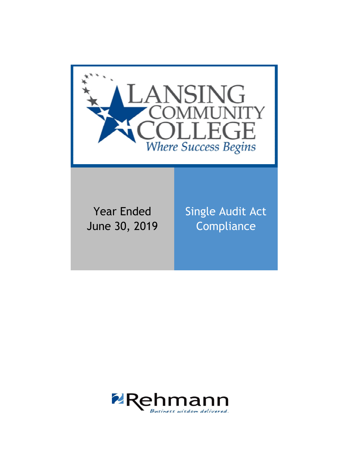

Year Ended June 30, 2019 Single Audit Act **Compliance** 

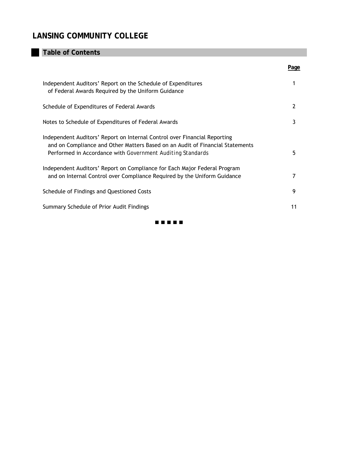# **Table of Contents**

|                                                                                                                                                                                                                          | Page |
|--------------------------------------------------------------------------------------------------------------------------------------------------------------------------------------------------------------------------|------|
| Independent Auditors' Report on the Schedule of Expenditures<br>of Federal Awards Required by the Uniform Guidance                                                                                                       |      |
| Schedule of Expenditures of Federal Awards                                                                                                                                                                               | 2    |
| Notes to Schedule of Expenditures of Federal Awards                                                                                                                                                                      | 3    |
| Independent Auditors' Report on Internal Control over Financial Reporting<br>and on Compliance and Other Matters Based on an Audit of Financial Statements<br>Performed in Accordance with Government Auditing Standards | 5    |
| Independent Auditors' Report on Compliance for Each Major Federal Program<br>and on Internal Control over Compliance Required by the Uniform Guidance                                                                    |      |
| Schedule of Findings and Questioned Costs                                                                                                                                                                                | 9    |
| Summary Schedule of Prior Audit Findings                                                                                                                                                                                 | 11   |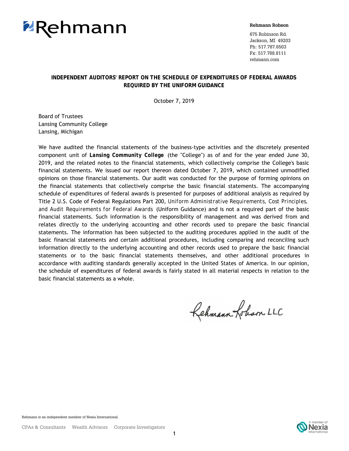

#### **Rehmann Robson**

675 Robinson Rd. Jackson, MI 49203 Ph: 517.787.6503 Fx: 517.788.8111 rehmann.com

### **INDEPENDENT AUDITORS' REPORT ON THE SCHEDULE OF EXPENDITURES OF FEDERAL AWARDS REQUIRED BY THE UNIFORM GUIDANCE**

October 7, 2019

 Board of Trustees Lansing Community College Lansing, Michigan

We have audited the financial statements of the business-type activities and the discretely presented component unit of *Lansing Community College* (the "College") as of and for the year ended June 30, 2019, and the related notes to the financial statements, which collectively comprise the College's basic financial statements. We issued our report thereon dated October 7, 2019, which contained unmodified opinions on those financial statements. Our audit was conducted for the purpose of forming opinions on the financial statements that collectively comprise the basic financial statements. The accompanying schedule of expenditures of federal awards is presented for purposes of additional analysis as required by Title 2 U.S. Code of Federal Regulations Part 200, *Uniform Administrative Requirements, Cost Principles, and Audit Requirements for Federal Awards* (Uniform Guidance) and is not a required part of the basic financial statements. Such information is the responsibility of management and was derived from and relates directly to the underlying accounting and other records used to prepare the basic financial statements. The information has been subjected to the auditing procedures applied in the audit of the basic financial statements and certain additional procedures, including comparing and reconciling such information directly to the underlying accounting and other records used to prepare the basic financial statements or to the basic financial statements themselves, and other additional procedures in accordance with auditing standards generally accepted in the United States of America. In our opinion, the schedule of expenditures of federal awards is fairly stated in all material respects in relation to the basic financial statements as a whole.

Rehmann Lobam LLC

Rehmann is an independent member of Nexia International.

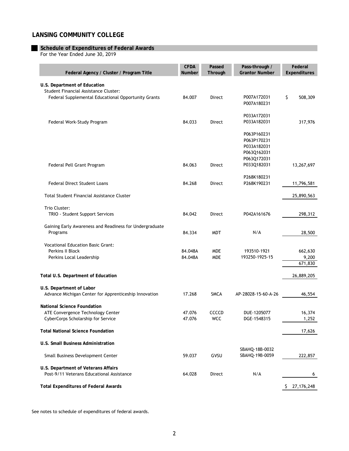#### **Schedule of Expenditures of Federal Awards**

For the Year Ended June 30, 2019

| Federal Agency / Cluster / Program Title                                          | <b>CFDA</b><br>Number | Passed<br>Through | Pass-through /<br><b>Grantor Number</b> | Federal<br>Expenditures |
|-----------------------------------------------------------------------------------|-----------------------|-------------------|-----------------------------------------|-------------------------|
| U.S. Department of Education                                                      |                       |                   |                                         |                         |
| Student Financial Assistance Cluster:                                             |                       |                   |                                         |                         |
| Federal Supplemental Educational Opportunity Grants                               | 84.007                | Direct            | P007A172031                             | \$<br>508,309           |
|                                                                                   |                       |                   | P007A180231                             |                         |
|                                                                                   |                       |                   | P033A172031                             |                         |
| Federal Work-Study Program                                                        | 84.033                | Direct            | P033A182031                             | 317,976                 |
|                                                                                   |                       |                   | P063P160231                             |                         |
|                                                                                   |                       |                   | P063P170231                             |                         |
|                                                                                   |                       |                   | P033A182031                             |                         |
|                                                                                   |                       |                   | P063Q162031                             |                         |
|                                                                                   |                       |                   | P063Q172031                             |                         |
| Federal Pell Grant Program                                                        | 84.063                | Direct            | P033Q182031                             | 13,267,697              |
|                                                                                   |                       |                   | P268K180231                             |                         |
| <b>Federal Direct Student Loans</b>                                               | 84.268                | Direct            | P268K190231                             | 11,796,581              |
| <b>Total Student Financial Assistance Cluster</b>                                 |                       |                   |                                         | 25,890,563              |
|                                                                                   |                       |                   |                                         |                         |
| Trio Cluster:                                                                     | 84.042                |                   | P042A161676                             |                         |
| TRIO - Student Support Services                                                   |                       | Direct            |                                         | 298,312                 |
| Gaining Early Awareness and Readiness for Undergraduate                           |                       |                   |                                         |                         |
| Programs                                                                          | 84.334                | <b>MDT</b>        | N/A                                     | 28,500                  |
| <b>Vocational Education Basic Grant:</b>                                          |                       |                   |                                         |                         |
| Perkins II Block                                                                  | 84.048A               | <b>MDE</b>        | 193510-1921                             | 662,630                 |
| Perkins Local Leadership                                                          | 84.048A               | <b>MDE</b>        | 193250-1925-15                          | 9,200                   |
|                                                                                   |                       |                   |                                         | 671,830                 |
| Total U.S. Department of Education                                                |                       |                   |                                         | 26,889,205              |
|                                                                                   |                       |                   |                                         |                         |
| U.S. Department of Labor<br>Advance Michigan Center for Apprenticeship Innovation | 17.268                | <b>SMCA</b>       | AP-28028-15-60-A-26                     | 46,554                  |
|                                                                                   |                       |                   |                                         |                         |
| <b>National Science Foundation</b>                                                |                       |                   |                                         |                         |
| ATE Convergence Technology Center                                                 | 47.076                | CCCCD             | DUE-1205077                             | 16,374                  |
| CyberCorps Scholarship for Service                                                | 47.076                | <b>WCC</b>        | DGE-1548315                             | 1,252                   |
| <b>Total National Science Foundation</b>                                          |                       |                   |                                         | 17,626                  |
| U.S. Small Business Administration                                                |                       |                   |                                         |                         |
|                                                                                   |                       |                   | SBAHQ-18B-0032                          |                         |
| Small Business Development Center                                                 | 59.037                | GVSU              | SBAHQ-19B-0059                          | 222,857                 |
| U.S. Department of Veterans Affairs                                               |                       |                   |                                         |                         |
| Post-9/11 Veterans Educational Assistance                                         | 64.028                | Direct            | N/A                                     | 6                       |
| <b>Total Expenditures of Federal Awards</b>                                       |                       |                   |                                         | 27, 176, 248<br>S.      |

See notes to schedule of expenditures of federal awards.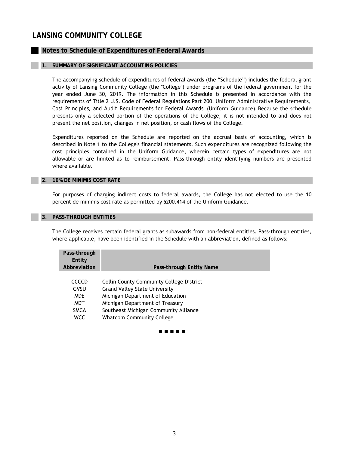## **Notes to Schedule of Expenditures of Federal Awards**

#### **1. SUMMARY OF SIGNIFICANT ACCOUNTING POLICIES**

The accompanying schedule of expenditures of federal awards (the "Schedule") includes the federal grant activity of Lansing Community College (the "College") under programs of the federal government for the year ended June 30, 2019. The information in this Schedule is presented in accordance with the requirements of Title 2 U.S. Code of Federal Regulations Part 200, *Uniform Administrative Requirements, Cost Principles, and Audit Requirements for Federal Awards* (Uniform Guidance)*.* Because the schedule presents only a selected portion of the operations of the College, it is not intended to and does not present the net position, changes in net position, or cash flows of the College.

Expenditures reported on the Schedule are reported on the accrual basis of accounting, which is described in Note 1 to the College's financial statements. Such expenditures are recognized following the cost principles contained in the Uniform Guidance, wherein certain types of expenditures are not allowable or are limited as to reimbursement. Pass-through entity identifying numbers are presented where available.

#### **2. 10% DE MINIMIS COST RATE**

For purposes of charging indirect costs to federal awards, the College has not elected to use the 10 percent de minimis cost rate as permitted by §200.414 of the Uniform Guidance.

#### **3. PASS-THROUGH ENTITIES**

The College receives certain federal grants as subawards from non-federal entities. Pass-through entities, where applicable, have been identified in the Schedule with an abbreviation, defined as follows:

| Pass-through<br>Entity<br>Abbreviation | Pass-through Entity Name                        |
|----------------------------------------|-------------------------------------------------|
| CCCCD                                  | <b>Collin County Community College District</b> |
| GVSU                                   | <b>Grand Valley State University</b>            |
| <b>MDE</b>                             | Michigan Department of Education                |
| <b>MDT</b>                             | Michigan Department of Treasury                 |
| <b>SMCA</b>                            | Southeast Michigan Community Alliance           |
| <b>WCC</b>                             | <b>Whatcom Community College</b>                |

. . . . .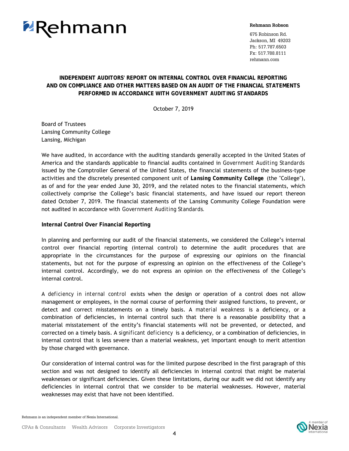

#### **Rehmann Robson**

675 Robinson Rd. Jackson, MI 49203 Ph: 517.787.6503 Fx: 517.788.8111 rehmann.com

## **INDEPENDENT AUDITORS' REPORT ON INTERNAL CONTROL OVER FINANCIAL REPORTING AND ON COMPLIANCE AND OTHER MATTERS BASED ON AN AUDIT OF THE FINANCIAL STATEMENTS PERFORMED IN ACCORDANCE WITH** *GOVERNMENT AUDITING STANDARDS*

October 7, 2019

Board of Trustees Lansing Community College Lansing, Michigan

We have audited, in accordance with the auditing standards generally accepted in the United States of America and the standards applicable to financial audits contained in *Government Auditing Standards* issued by the Comptroller General of the United States, the financial statements of the business-type activities and the discretely presented component unit of *Lansing Community College* (the "College"), as of and for the year ended June 30, 2019, and the related notes to the financial statements, which collectively comprise the College's basic financial statements, and have issued our report thereon dated October 7, 2019. The financial statements of the Lansing Community College Foundation were not audited in accordance with *Government Auditing Standards.*

**Internal Control Over Financial Reporting**

In planning and performing our audit of the financial statements, we considered the College's internal control over financial reporting (internal control) to determine the audit procedures that are appropriate in the circumstances for the purpose of expressing our opinions on the financial statements, but not for the purpose of expressing an opinion on the effectiveness of the College's internal control. Accordingly, we do not express an opinion on the effectiveness of the College's internal control.

A *deficiency in internal control* exists when the design or operation of a control does not allow management or employees, in the normal course of performing their assigned functions, to prevent, or detect and correct misstatements on a timely basis. A *material weakness* is a deficiency, or a combination of deficiencies, in internal control such that there is a reasonable possibility that a material misstatement of the entity's financial statements will not be prevented, or detected, and corrected on a timely basis. A *significant deficiency* is a deficiency, or a combination of deficiencies, in internal control that is less severe than a material weakness, yet important enough to merit attention by those charged with governance.

Our consideration of internal control was for the limited purpose described in the first paragraph of this section and was not designed to identify all deficiencies in internal control that might be material weaknesses or significant deficiencies. Given these limitations, during our audit we did not identify any deficiencies in internal control that we consider to be material weaknesses. However, material weaknesses may exist that have not been identified.

Rehmann is an independent member of Nexia International.

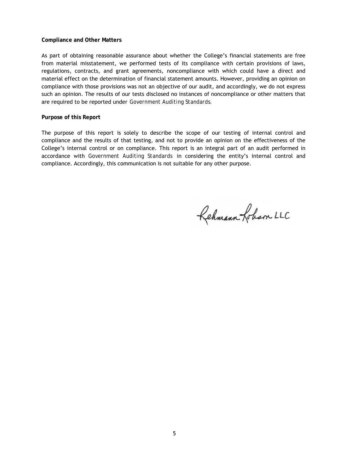#### **Compliance and Other Matters**

As part of obtaining reasonable assurance about whether the College's financial statements are free from material misstatement, we performed tests of its compliance with certain provisions of laws, regulations, contracts, and grant agreements, noncompliance with which could have a direct and material effect on the determination of financial statement amounts. However, providing an opinion on compliance with those provisions was not an objective of our audit, and accordingly, we do not express such an opinion. The results of our tests disclosed no instances of noncompliance or other matters that are required to be reported under *Government Auditing Standards.*

#### **Purpose of this Report**

The purpose of this report is solely to describe the scope of our testing of internal control and compliance and the results of that testing, and not to provide an opinion on the effectiveness of the College's internal control or on compliance. This report is an integral part of an audit performed in accordance with *Government Auditing Standards* in considering the entity's internal control and compliance. Accordingly, this communication is not suitable for any other purpose.

Rehmann Lobam LLC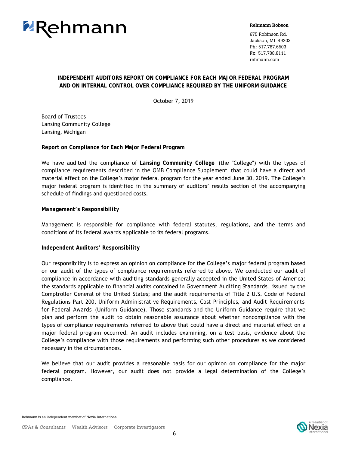

#### **Rehmann Robson**

675 Robinson Rd. Jackson, MI 49203 Ph: 517.787.6503 Fx: 517.788.8111 rehmann.com

## **INDEPENDENT AUDITORS REPORT ON COMPLIANCE FOR EACH MAJOR FEDERAL PROGRAM AND ON INTERNAL CONTROL OVER COMPLIANCE REQUIRED BY THE UNIFORM GUIDANCE**

October 7, 2019

 Board of Trustees Lansing Community College Lansing, Michigan

**Report on Compliance for Each Major Federal Program**

We have audited the compliance of *Lansing Community College* (the "College") with the types of compliance requirements described in the *OMB Compliance Supplement* that could have a direct and material effect on the College's major federal program for the year ended June 30, 2019. The College's major federal program is identified in the summary of auditors' results section of the accompanying schedule of findings and questioned costs.

### *Management's Responsibility*

Management is responsible for compliance with federal statutes, regulations, and the terms and conditions of its federal awards applicable to its federal programs.

#### *Independent Auditors' Responsibility*

Our responsibility is to express an opinion on compliance for the College's major federal program based on our audit of the types of compliance requirements referred to above. We conducted our audit of compliance in accordance with auditing standards generally accepted in the United States of America; the standards applicable to financial audits contained in *Government Auditing Standards,* issued by the Comptroller General of the United States; and the audit requirements of Title 2 U.S. Code of Federal Regulations Part 200, *Uniform Administrative Requirements, Cost Principles, and Audit Requirements for Federal Awards* (Uniform Guidance). Those standards and the Uniform Guidance require that we plan and perform the audit to obtain reasonable assurance about whether noncompliance with the types of compliance requirements referred to above that could have a direct and material effect on a major federal program occurred. An audit includes examining, on a test basis, evidence about the College's compliance with those requirements and performing such other procedures as we considered necessary in the circumstances.

We believe that our audit provides a reasonable basis for our opinion on compliance for the major federal program. However, our audit does not provide a legal determination of the College's compliance.

Rehmann is an independent member of Nexia International.

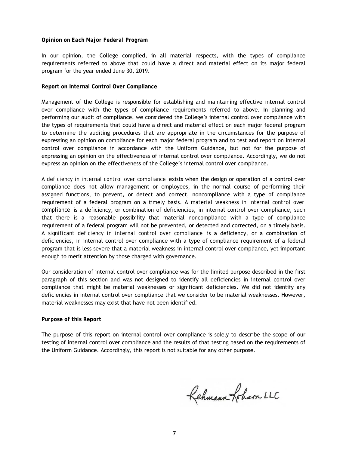#### *Opinion on Each Major Federal Program*

In our opinion, the College complied, in all material respects, with the types of compliance requirements referred to above that could have a direct and material effect on its major federal program for the year ended June 30, 2019.

#### **Report on Internal Control Over Compliance**

Management of the College is responsible for establishing and maintaining effective internal control over compliance with the types of compliance requirements referred to above. In planning and performing our audit of compliance, we considered the College's internal control over compliance with the types of requirements that could have a direct and material effect on each major federal program to determine the auditing procedures that are appropriate in the circumstances for the purpose of expressing an opinion on compliance for each major federal program and to test and report on internal control over compliance in accordance with the Uniform Guidance, but not for the purpose of expressing an opinion on the effectiveness of internal control over compliance. Accordingly, we do not express an opinion on the effectiveness of the College's internal control over compliance.

A *deficiency in internal control over compliance* exists when the design or operation of a control over compliance does not allow management or employees, in the normal course of performing their assigned functions, to prevent, or detect and correct, noncompliance with a type of compliance requirement of a federal program on a timely basis. A *material weakness in internal control over compliance* is a deficiency, or combination of deficiencies, in internal control over compliance, such that there is a reasonable possibility that material noncompliance with a type of compliance requirement of a federal program will not be prevented, or detected and corrected, on a timely basis. A *significant deficiency in internal control over compliance* is a deficiency, or a combination of deficiencies, in internal control over compliance with a type of compliance requirement of a federal program that is less severe that a material weakness in internal control over compliance, yet important enough to merit attention by those charged with governance.

Our consideration of internal control over compliance was for the limited purpose described in the first paragraph of this section and was not designed to identify all deficiencies in internal control over compliance that might be material weaknesses or significant deficiencies. We did not identify any deficiencies in internal control over compliance that we consider to be material weaknesses. However, material weaknesses may exist that have not been identified.

#### *Purpose of this Report*

The purpose of this report on internal control over compliance is solely to describe the scope of our testing of internal control over compliance and the results of that testing based on the requirements of the Uniform Guidance. Accordingly, this report is not suitable for any other purpose.

Rehmann-Johan LLC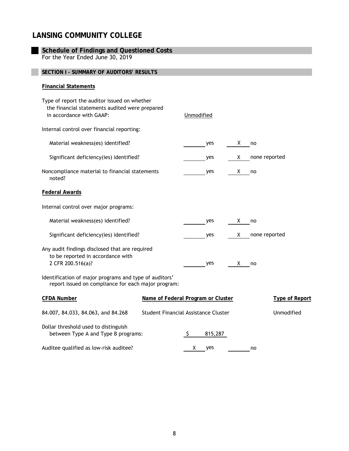| <b>Schedule of Findings and Questioned Costs</b>                                                                           |                                      |            |         |    |               |                       |
|----------------------------------------------------------------------------------------------------------------------------|--------------------------------------|------------|---------|----|---------------|-----------------------|
| For the Year Ended June 30, 2019                                                                                           |                                      |            |         |    |               |                       |
| SECTION I - SUMMARY OF AUDITORS' RESULTS                                                                                   |                                      |            |         |    |               |                       |
| <b>Financial Statements</b>                                                                                                |                                      |            |         |    |               |                       |
| Type of report the auditor issued on whether<br>the financial statements audited were prepared<br>in accordance with GAAP: |                                      | Unmodified |         |    |               |                       |
| Internal control over financial reporting:                                                                                 |                                      |            |         |    |               |                       |
| Material weakness(es) identified?                                                                                          |                                      |            | yes     | X. | no            |                       |
| Significant deficiency(ies) identified?                                                                                    |                                      |            | yes     | X. | none reported |                       |
| Noncompliance material to financial statements<br>noted?                                                                   |                                      |            | yes     | X. | no            |                       |
| <b>Federal Awards</b>                                                                                                      |                                      |            |         |    |               |                       |
| Internal control over major programs:                                                                                      |                                      |            |         |    |               |                       |
| Material weakness(es) identified?                                                                                          |                                      |            | yes     | X. | no            |                       |
| Significant deficiency(ies) identified?                                                                                    |                                      |            | yes     | X. | none reported |                       |
| Any audit findings disclosed that are required<br>to be reported in accordance with<br>2 CFR 200.516(a)?                   |                                      |            | yes     | X. | no            |                       |
| Identification of major programs and type of auditors'<br>report issued on compliance for each major program:              |                                      |            |         |    |               |                       |
| <b>CFDA Number</b>                                                                                                         | Name of Federal Program or Cluster   |            |         |    |               | <b>Type of Report</b> |
| 84.007, 84.033, 84.063, and 84.268                                                                                         | Student Financial Assistance Cluster |            |         |    |               | Unmodified            |
| Dollar threshold used to distinguish<br>between Type A and Type B programs:                                                |                                      | \$.        | 815,287 |    |               |                       |
| Auditee qualified as low-risk auditee?                                                                                     |                                      | X.         | yes     |    | no            |                       |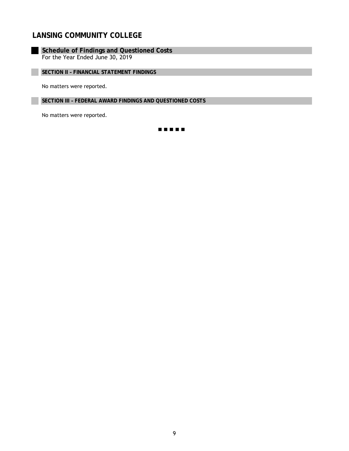**Schedule of Findings and Questioned Costs** For the Year Ended June 30, 2019

**SECTION II – FINANCIAL STATEMENT FINDINGS**

No matters were reported.

**SECTION III – FEDERAL AWARD FINDINGS AND QUESTIONED COSTS**

No matters were reported.